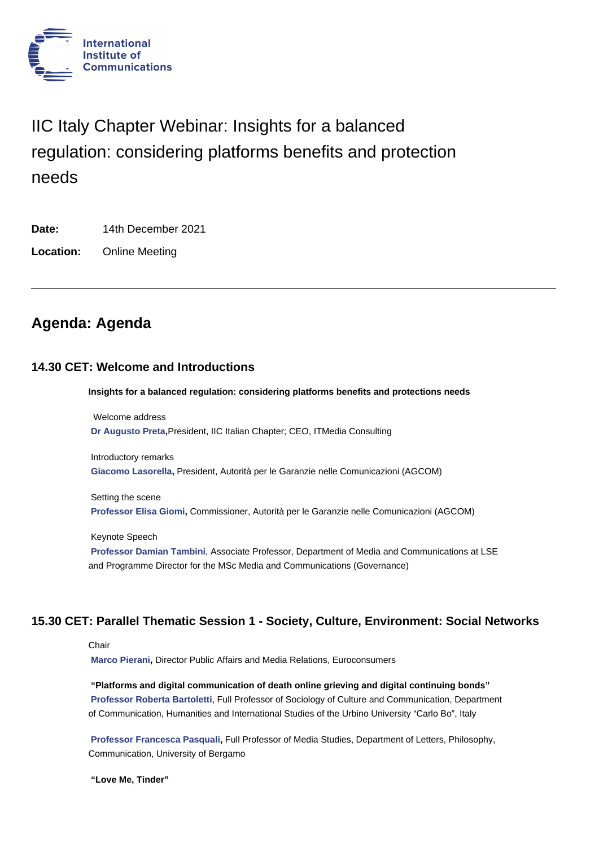

# IIC Italy Chapter Webinar: Insights for a balanced regulation: considering platforms benefits and protection needs

**Date:** 14th December 2021

**Location:** Online Meeting

## **Agenda: Agenda**

## **14.30 CET: Welcome and Introductions**

**Insights for a balanced regulation: considering platforms benefits and protections needs**

 Welcome address **Dr Augusto Preta,**President, IIC Italian Chapter; CEO, ITMedia Consulting

Introductory remarks **Giacomo Lasorella,** President, Autorità per le Garanzie nelle Comunicazioni (AGCOM)

Setting the scene **Professor Elisa Giomi,** Commissioner, Autorità per le Garanzie nelle Comunicazioni (AGCOM)

Keynote Speech **Professor Damian Tambini**, Associate Professor, Department of Media and Communications at LSE [and Programme Director](https://www.iicom.org/profile/elisa-giomi/) for the MSc Media and Communications (Governance)

## **15.30 CET: Parallel Thematic Session 1 - Society, Culture, Environment: Social Networks**

#### **Chair**

**Marco Pierani,** Director Public Affairs and Media Relations, Euroconsumers

**"Platforms and digital communication of death online grieving and digital continuing bonds" Professor Roberta Bartoletti**, Full Professor of Sociology of Culture and Communication, Department [of Communicati](https://www.iicom.org/profile/marco-pierani/)on, Humanities and International Studies of the Urbino University "Carlo Bo", Italy

**Professor Francesca Pasquali,** Full Professor of Media Studies, Department of Letters, Philosophy, [Communication, University of B](https://www.iicom.org/profile/roberta-bartoletti-prof/)ergamo

**"Love Me, Tinder"**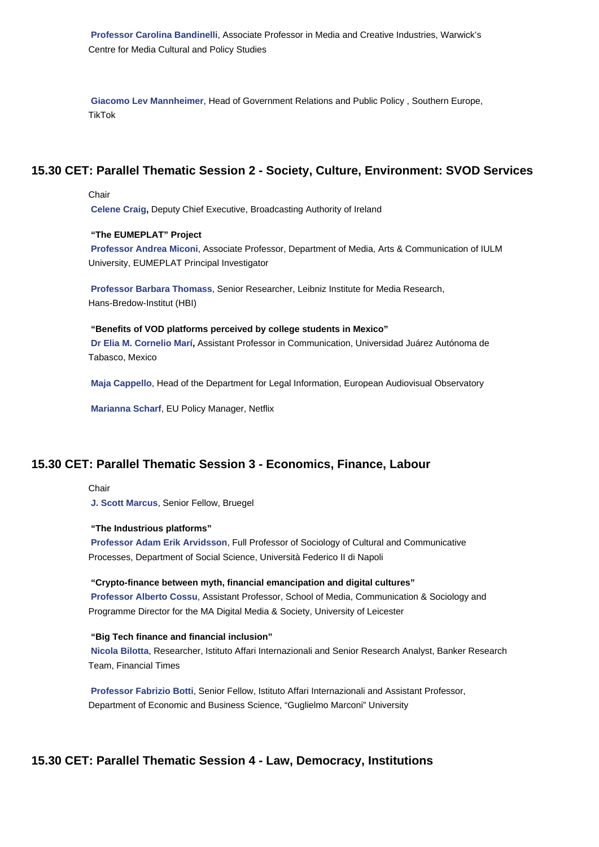**Giacomo Lev Mannheimer**, Head of Government Relations and Public Policy , Southern Europe, TikTok

## **15.30 CET: Parallel Thematic Session 2 - Society, Culture, Environment: SVOD Services**

#### Chair

**Celene Craig,** Deputy Chief Executive, Broadcasting Authority of Ireland

#### **"The EUMEPLAT" Project**

**Professor Andrea Miconi**, Associate Professor, Department of Media, Arts & Communication of IULM [University, EUM](https://www.iicom.org/profile/celene-craig/)EPLAT Principal Investigator

**Professor Barbara Thomass**, Senior Researcher, Leibniz Institute for Media Research, [Hans-Bredow-Institut \(HBI\)](https://www.iicom.org/profile/andrea-miconi-prof/)

#### **"Benefits of VOD platforms perceived by college students in Mexico"**

**[Dr Elia M. Cornelio Marí,](https://www.iicom.org/profile/barbara-thomass-prof/)** Assistant Professor in Communication, Universidad Juárez Autónoma de Tabasco, Mexico

**Maja Cappello**, Head of the Department for Legal Information, European Audiovisual Observatory

**Marianna Scharf**, EU Policy Manager, Netflix

## **15.30 CET[: Parallel The](https://www.iicom.org/profile/marianna-scharf/)matic Session 3 - Economics, Finance, Labour**

Chair

**J. Scott Marcus**, Senior Fellow, Bruegel

#### **"The Industrious platforms"**

**Professor Adam Erik Arvidsson**, Full Professor of Sociology of Cultural and Communicative [Processes, Depar](https://www.iicom.org/profile/scott-marcus/)tment of Social Science, Università Federico II di Napoli

#### **"Crypto-finance between myth, financial emancipation and digital cultures"**

**[Professor Alberto Cossu](https://www.iicom.org/profile/adam-erik-arvidsson/)**, Assistant Professor, School of Media, Communication & Sociology and Programme Director for the MA Digital Media & Society, University of Leicester

#### **"Big Tech finance and financial inclusion"**

**[Nicola Bilotta](https://www.iicom.org/profile/alberto-cossu-dr/)**, Researcher, Istituto Affari Internazionali and Senior Research Analyst, Banker Research Team, Financial Times

**Professor Fabrizio Botti**, Senior Fellow, Istituto Affari Internazionali and Assistant Professor, [Department of E](https://www.iicom.org/profile/nicola-bilotta/)conomic and Business Science, "Guglielmo Marconi" University

## **15.30 CET: Parallel Thematic Session 4 - Law, Democracy, Institutions**